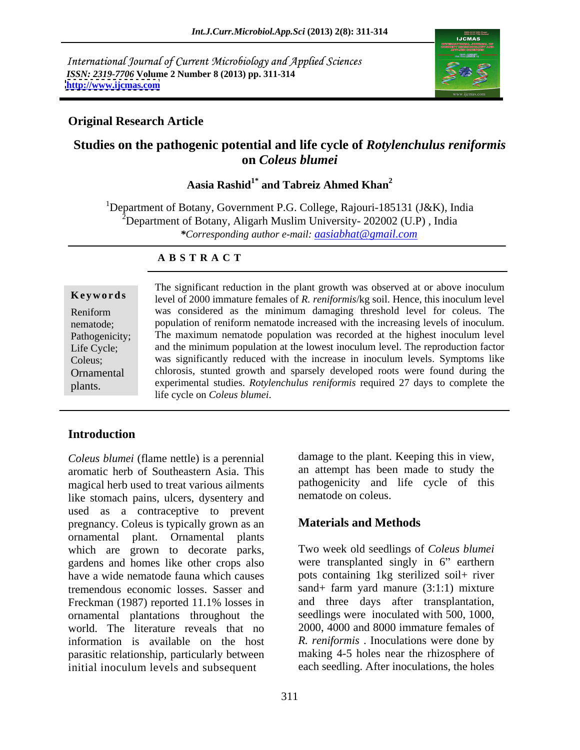International Journal of Current Microbiology and Applied Sciences *ISSN: 2319-7706* **Volume 2 Number 8 (2013) pp. 311-314 <http://www.ijcmas.com>**



### **Original Research Article**

# **Studies on the pathogenic potential and life cycle of** *Rotylenchulus reniformis* **on** *Coleus blumei*

**Aasia Rashid1\* and Tabreiz Ahmed Khan<sup>2</sup>**

<sup>1</sup>Department of Botany, Government P.G. College, Rajouri-185131 (J&K), India <sup>2</sup>Department of Botany, Aligarh Muslim University- 202002 (U.P), India *\*Corresponding author e-mail: aasiabhat@gmail.com*

### **A B S T R A C T**

**Ke ywo rds** level of 2000 immature females of *R. reniformis*/kg soil. Hence, this inoculum level Reniform was considered as the minimum damaging threshold level for coleus. The nematode; population of reniform nematode increased with the increasing levels of inoculum. Pathogenicity; The maximum nematode population was recorded at the highest inoculum level Life Cycle; and the minimum population at the lowest inoculum level. The reproduction factor Coleus; was significantly reduced with the increase in inoculum levels. Symptoms like Ornamental chlorosis, stunted growth and sparsely developed roots were found during the **Example 18**<br> **Keywords**<br>
In the significant reduction in the plant growth was observed at or above inoculum<br>
In the second of 2000 immature females of *R. reniformis/*kg soil. Hence, this inoculum level<br>
Reniform<br>
was con experimental studies. *Rotylenchulus reniformis* required 27 days to complete the life cycle on *Coleus blumei*.

## **Introduction**

*Coleus blumei* (flame nettle) is a perennial aromatic herb of Southeastern Asia. This magical herb used to treat various ailments like stomach pains, ulcers, dysentery and used as a contraceptive to prevent<br>pregnancy Coleus is typically grown as an **Materials and Methods** pregnancy. Coleus is typically grown as an ornamental plant. Ornamental plants which are grown to decorate parks, gardens and homes like other crops also have a wide nematode fauna which causes tremendous economic losses. Sasser and Freckman (1987) reported 11.1% losses in and three days after transplantation, ornamental plantations throughout the world. The literature reveals that no information is available on the host *R. reniformis* . Inoculations were done by parasitic relationship, particularly between initial inoculum levels and subsequent each seedling. After inoculations, the holes

damage to the plant. Keeping this in view, an attempt has been made to study the pathogenicity and life cycle of this nematode on coleus.

## **Materials and Methods**

Two week old seedlings of *Coleus blumei* were transplanted singly in  $6$ " earthern pots containing 1kg sterilized soil+ river sand+ farm yard manure (3:1:1) mixture and three days after transplantation, seedlings were inoculated with 500, 1000, 2000, 4000 and 8000 immature females of making 4-5 holes near the rhizosphere of each seedling. After inoculations, the holes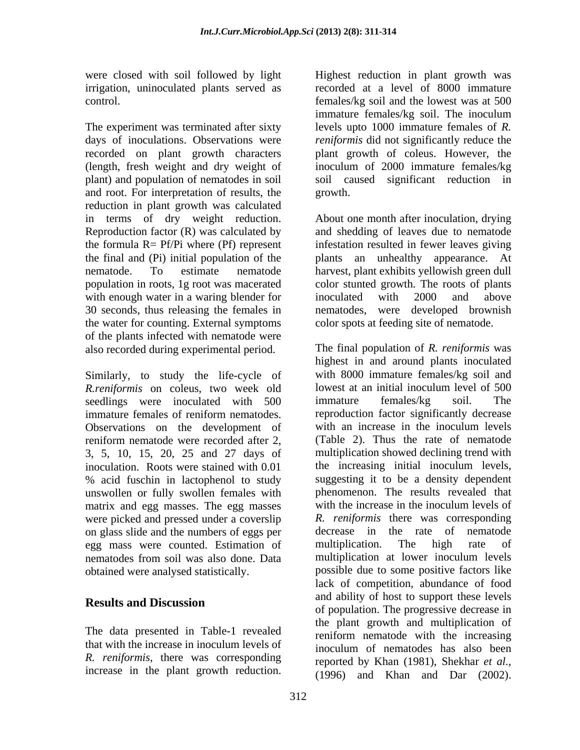were closed with soil followed by light Highest reduction in plant growth was

and root. For interpretation of results, the reduction in plant growth was calculated with enough water in a waring blender for inoculated with 2000 and above 30 seconds, thus releasing the females in the water for counting. External symptoms of the plants infected with nematode were also recorded during experimental period.

Similarly, to study the life-cycle of with 8000 immature females/kg soil and R reniformis on coleus, two week old lowest at an initial inoculum level of 500 *R.reniformis* on coleus, two week old seedlings were inoculated with 500 immature females/kg soil. The immature females of reniform nematodes. Observations on the development of reniform nematode were recorded after 2, 3, 5, 10, 15, 20, 25 and 27 days of inoculation. Roots were stained with 0.01 % acid fuschin in lactophenol to study unswollen or fully swollen females with matrix and egg masses. The egg masses with the increase in the inoculum levels of were picked and pressed under a coverslip on glass slide and the numbers of eggs per<br>
egg mass were counted. Estimation of multiplication. The high rate egg mass were counted. Estimation of multiplication. The high rate of

The data presented in Table-1 revealed that with the increase in inoculum levels of *R. reniformis*, there was corresponding

irrigation, uninoculated plants served as recorded at a level of 8000 immature control. females/kg soil and the lowest was at 500 The experiment was terminated after sixty levels upto 1000 immature females of *R.*  days of inoculations. Observations were *reniformis* did not significantly reduce the recorded on plant growth characters plant growth of coleus. However, the (length, fresh weight and dry weight of inoculum of 2000 immature females/kg plant) and population of nematodes in soil soil caused significant reduction in immature females/kg soil. The inoculum growth.

in terms of dry weight reduction. About one month after inoculation, drying Reproduction factor (R) was calculated by and shedding of leaves due to nematode the formula R= Pf/Pi where (Pf) represent infestation resulted in fewer leaves giving the final and (Pi) initial population of the plants an unhealthy appearance. At nematode. To estimate nematode harvest, plant exhibits yellowish green dull population in roots, 1g root was macerated colorstunted growth. The roots of plants inoculated with 2000 and above nematodes, were developed brownish color spots at feeding site of nematode.

nematodes from soil was also done. Data obtained were analysed statistically. possible due to some positive factors like **Results and Discussion** and a dimension and a support these reverses in we closed with solicit be the control of the plant growth was the mean of the speciment.<br>Control in the plant growth reduction in plant growth was sensitive to the plant growth reduction. The speciment was terminated afte The final population of *R. reniformis* was highest in and around plants inoculated with 8000 immature females/kg soil and lowest at an initial inoculum level of 500 immature females/kg soil. The reproduction factor significantly decrease with an increase in the inoculum levels (Table 2). Thus the rate of nematode multiplication showed declining trend with the increasing initial inoculum levels, suggesting it to be a density dependent phenomenon. The results revealed that with the increase in the inoculum levels of *R. reniformis* there was corresponding decrease in the rate of nematode multiplication. The high rate of multiplication at lower inoculum levels lack of competition, abundance of food and ability of host to support these levels of population. The progressive decrease in the plant growth and multiplication of reniform nematode with the increasing inoculum of nematodes has also been reported by Khan (1981), Shekhar *et al.,* (1996) and Khan and Dar (2002).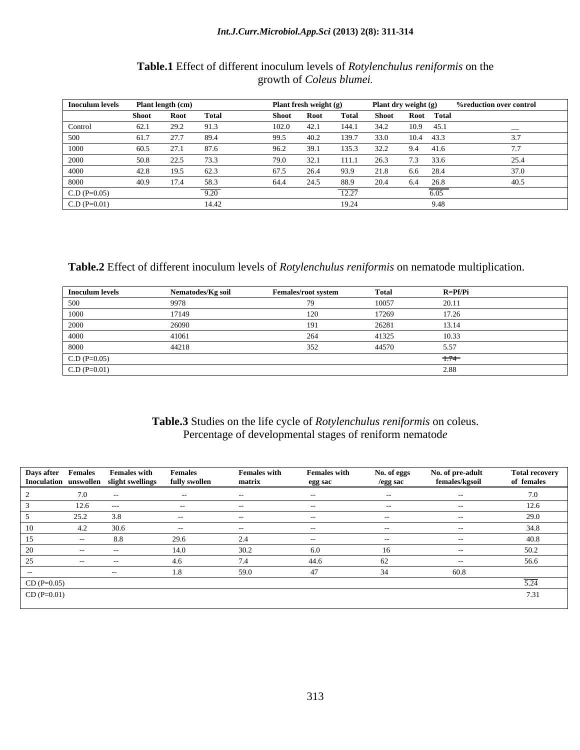### *Int.J.Curr.Microbiol.App.Sci* **(2013) 2(8): 311-314**

### **Table.1** Effect of different inoculum levels of *Rotylenchulus reniformis* on the growth of *Coleus blumei.*

| Inoculum levels |       | Plant length (cm) |        |       | Plant fresh weight (g) |        |       | Plant dry weight (g) |      | <b>%reduction over control</b> |
|-----------------|-------|-------------------|--------|-------|------------------------|--------|-------|----------------------|------|--------------------------------|
|                 | Shoot | Root              | Total  | Shoot | <b>Root</b>            | Total  | Shoot | Root Total           |      |                                |
| Control         | 62.1  | 29.2              | 91.5   | 102.0 | 42.1                   | 144.1  | 34.2  | 10.9 45.1            |      |                                |
| 500             |       | 277               | -894   | 995   |                        | 39.7   | 33.O  | 10.4                 | 43.3 |                                |
| 1000            | 60.5  | 27.1              | - 87.6 | 96.2  |                        | 135.3. | 32.2  | 9.4 41.6             |      |                                |
| 2000            |       | 22.5              | -73.3  | 79.0  |                        | 111.1  | 26.3  | 7.3 33.6             |      | 25.4                           |
| 4000            | 42.8  | 19.5              | - 62.  | 67.5  | 26.4                   | 93.9   |       | 6.6 28.4             |      | 37.0                           |
| 8000            | 40.9  | 17 <sub>4</sub>   | - 58.3 | 64.4  |                        | 88.9   | 20.4  | 64 268               |      | 405                            |
| $C.D (P=0.05)$  |       |                   |        |       |                        |        |       |                      |      |                                |
| $C.D (P=0.01)$  |       |                   | 14.42  |       |                        | 19.24  |       |                      | 9.48 |                                |

**Table.2** Effect of different inoculum levels of *Rotylenchulus reniformis* on nematode multiplication.

| Inoculum levels | Nematodes/Ko soil | <b>Females/root system</b> | Total | $R = Pf/Pi$ |  |
|-----------------|-------------------|----------------------------|-------|-------------|--|
| 50 V D          |                   |                            |       |             |  |
|                 |                   |                            |       |             |  |
| 21 Y Y          |                   |                            | 76781 | 13 14       |  |
| 4000            |                   |                            |       | 10.33       |  |
| -8000-          |                   |                            | 44570 |             |  |
| $C \bigcap D$   |                   |                            |       |             |  |
| CD/D            |                   |                            |       |             |  |

### **Table.3** Studies on the life cycle of *Rotylenchulus reniformis* on coleus. Percentage of developmental stages of reniform nematod*e*

| Days after Females             | <b>Females with</b><br>Inoculation unswollen slight swellings | <b>Females</b><br>fully swollen | <b>Females with</b><br>matrix | <b>Females with</b><br>egg sac | No. of eggs<br>/egg sac | No. of pre-adult<br>females/kgsoil | Total recovery<br>of females |
|--------------------------------|---------------------------------------------------------------|---------------------------------|-------------------------------|--------------------------------|-------------------------|------------------------------------|------------------------------|
|                                |                                                               |                                 |                               |                                |                         |                                    | 7.0                          |
|                                | $---$                                                         |                                 |                               |                                |                         |                                    | 12.6                         |
|                                | 38                                                            |                                 |                               |                                |                         |                                    | 29.0                         |
| 10                             | 30.6                                                          |                                 |                               |                                |                         |                                    | 34.8                         |
| $\Box$                         | 8.8                                                           |                                 |                               |                                |                         |                                    | 40.8                         |
| 20                             |                                                               |                                 | 30.2                          |                                | 16                      |                                    | 50.2                         |
| $\sim$ $-$                     |                                                               |                                 |                               |                                |                         |                                    | 56.6                         |
|                                |                                                               |                                 |                               |                                |                         | 60.8                               |                              |
|                                |                                                               |                                 |                               |                                |                         |                                    |                              |
| $CD (P=0.05)$<br>CD $(P=0.01)$ |                                                               |                                 |                               |                                |                         |                                    | 7.31                         |